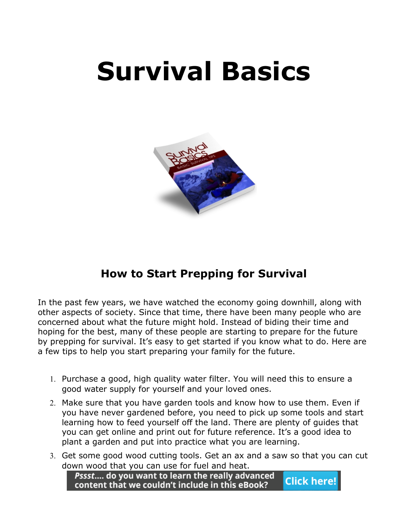# **Survival Basics**



## **How to Start Prepping for Survival**

In the past few years, we have watched the economy going downhill, along with other aspects of society. Since that time, there have been many people who are concerned about what the future might hold. Instead of biding their time and hoping for the best, many of these people are starting to prepare for the future by prepping for survival. It's easy to get started if you know what to do. Here are a few tips to help you start preparing your family for the future.

- 1. Purchase a good, high quality water filter. You will need this to ensure a good water supply for yourself and your loved ones.
- 2. Make sure that you have garden tools and know how to use them. Even if you have never gardened before, you need to pick up some tools and start learning how to feed yourself off the land. There are plenty of guides that you can get online and print out for future reference. It's a good idea to plant a garden and put into practice what you are learning.
- 3. Get some good wood cutting tools. Get an ax and a saw so that you can cut down wood that you can use for fuel and heat.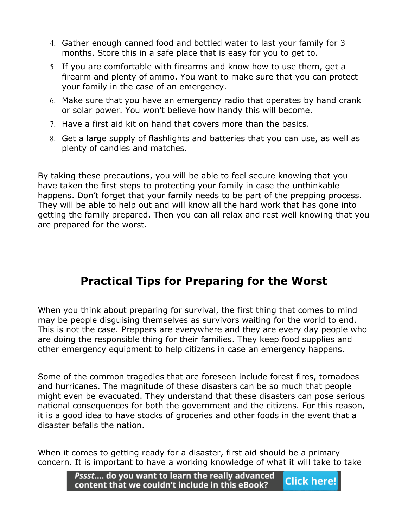- 4. Gather enough canned food and bottled water to last your family for 3 months. Store this in a safe place that is easy for you to get to.
- 5. If you are comfortable with firearms and know how to use them, get a firearm and plenty of ammo. You want to make sure that you can protect your family in the case of an emergency.
- 6. Make sure that you have an emergency radio that operates by hand crank or solar power. You won't believe how handy this will become.
- 7. Have a first aid kit on hand that covers more than the basics.
- 8. Get a large supply of flashlights and batteries that you can use, as well as plenty of candles and matches.

By taking these precautions, you will be able to feel secure knowing that you have taken the first steps to protecting your family in case the unthinkable happens. Don't forget that your family needs to be part of the prepping process. They will be able to help out and will know all the hard work that has gone into getting the family prepared. Then you can all relax and rest well knowing that you are prepared for the worst.

## **Practical Tips for Preparing for the Worst**

When you think about preparing for survival, the first thing that comes to mind may be people disguising themselves as survivors waiting for the world to end. This is not the case. Preppers are everywhere and they are every day people who are doing the responsible thing for their families. They keep food supplies and other emergency equipment to help citizens in case an emergency happens.

Some of the common tragedies that are foreseen include forest fires, tornadoes and hurricanes. The magnitude of these disasters can be so much that people might even be evacuated. They understand that these disasters can pose serious national consequences for both the government and the citizens. For this reason, it is a good idea to have stocks of groceries and other foods in the event that a disaster befalls the nation.

When it comes to getting ready for a disaster, first aid should be a primary concern. It is important to have a working knowledge of what it will take to take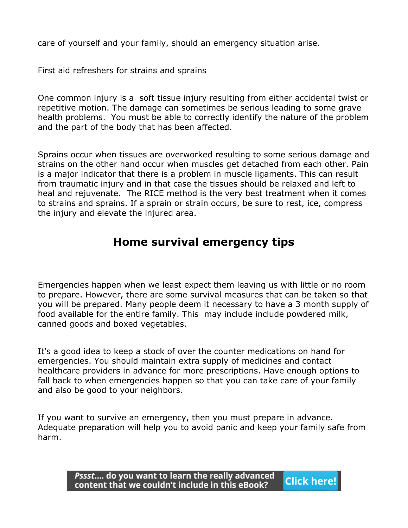care of yourself and your family, should an emergency situation arise.

First aid refreshers for strains and sprains

One common injury is a soft tissue injury resulting from either accidental twist or repetitive motion. The damage can sometimes be serious leading to some grave health problems. You must be able to correctly identify the nature of the problem and the part of the body that has been affected.

Sprains occur when tissues are overworked resulting to some serious damage and strains on the other hand occur when muscles get detached from each other. Pain is a major indicator that there is a problem in muscle ligaments. This can result from traumatic injury and in that case the tissues should be relaxed and left to heal and rejuvenate. The RICE method is the very best treatment when it comes to strains and sprains. If a sprain or strain occurs, be sure to rest, ice, compress the injury and elevate the injured area.

## **Home survival emergency tips**

Emergencies happen when we least expect them leaving us with little or no room to prepare. However, there are some survival measures that can be taken so that you will be prepared. Many people deem it necessary to have a 3 month supply of food available for the entire family. This may include include powdered milk, canned goods and boxed vegetables.

It's a good idea to keep a stock of over the counter medications on hand for emergencies. You should maintain extra supply of medicines and contact healthcare providers in advance for more prescriptions. Have enough options to fall back to when emergencies happen so that you can take care of your family and also be good to your neighbors.

If you want to survive an emergency, then you must prepare in advance. Adequate preparation will help you to avoid panic and keep your family safe from harm.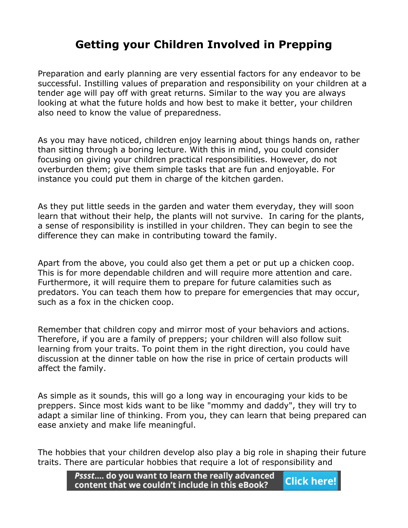## **Getting your Children Involved in Prepping**

Preparation and early planning are very essential factors for any endeavor to be successful. Instilling values of preparation and responsibility on your children at a tender age will pay off with great returns. Similar to the way you are always looking at what the future holds and how best to make it better, your children also need to know the value of preparedness.

As you may have noticed, children enjoy learning about things hands on, rather than sitting through a boring lecture. With this in mind, you could consider focusing on giving your children practical responsibilities. However, do not overburden them; give them simple tasks that are fun and enjoyable. For instance you could put them in charge of the kitchen garden.

As they put little seeds in the garden and water them everyday, they will soon learn that without their help, the plants will not survive. In caring for the plants, a sense of responsibility is instilled in your children. They can begin to see the difference they can make in contributing toward the family.

Apart from the above, you could also get them a pet or put up a chicken coop. This is for more dependable children and will require more attention and care. Furthermore, it will require them to prepare for future calamities such as predators. You can teach them how to prepare for emergencies that may occur, such as a fox in the chicken coop.

Remember that children copy and mirror most of your behaviors and actions. Therefore, if you are a family of preppers; your children will also follow suit learning from your traits. To point them in the right direction, you could have discussion at the dinner table on how the rise in price of certain products will affect the family.

As simple as it sounds, this will go a long way in encouraging your kids to be preppers. Since most kids want to be like "mommy and daddy", they will try to adapt a similar line of thinking. From you, they can learn that being prepared can ease anxiety and make life meaningful.

The hobbies that your children develop also play a big role in shaping their future traits. There are particular hobbies that require a lot of responsibility and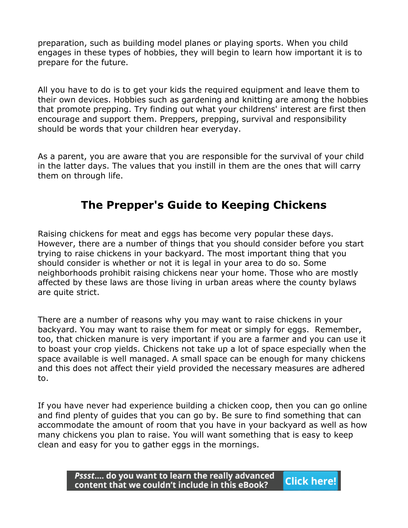preparation, such as building model planes or playing sports. When you child engages in these types of hobbies, they will begin to learn how important it is to prepare for the future.

All you have to do is to get your kids the required equipment and leave them to their own devices. Hobbies such as gardening and knitting are among the hobbies that promote prepping. Try finding out what your childrens' interest are first then encourage and support them. Preppers, prepping, survival and responsibility should be words that your children hear everyday.

As a parent, you are aware that you are responsible for the survival of your child in the latter days. The values that you instill in them are the ones that will carry them on through life.

## **The Prepper's Guide to Keeping Chickens**

Raising chickens for meat and eggs has become very popular these days. However, there are a number of things that you should consider before you start trying to raise chickens in your backyard. The most important thing that you should consider is whether or not it is legal in your area to do so. Some neighborhoods prohibit raising chickens near your home. Those who are mostly affected by these laws are those living in urban areas where the county bylaws are quite strict.

There are a number of reasons why you may want to raise chickens in your backyard. You may want to raise them for meat or simply for eggs. Remember, too, that chicken manure is very important if you are a farmer and you can use it to boast your crop yields. Chickens not take up a lot of space especially when the space available is well managed. A small space can be enough for many chickens and this does not affect their yield provided the necessary measures are adhered to.

If you have never had experience building a chicken coop, then you can go online and find plenty of guides that you can go by. Be sure to find something that can accommodate the amount of room that you have in your backyard as well as how many chickens you plan to raise. You will want something that is easy to keep clean and easy for you to gather eggs in the mornings.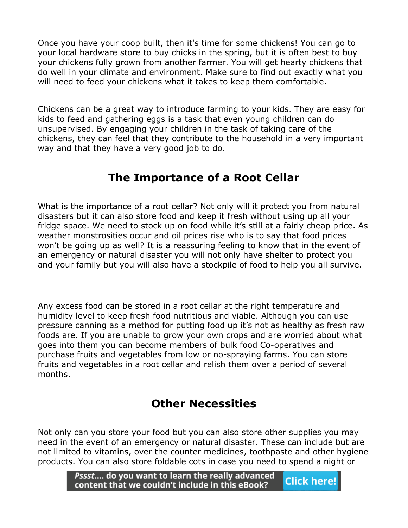Once you have your coop built, then it's time for some chickens! You can go to your local hardware store to buy chicks in the spring, but it is often best to buy your chickens fully grown from another farmer. You will get hearty chickens that do well in your climate and environment. Make sure to find out exactly what you will need to feed your chickens what it takes to keep them comfortable.

Chickens can be a great way to introduce farming to your kids. They are easy for kids to feed and gathering eggs is a task that even young children can do unsupervised. By engaging your children in the task of taking care of the chickens, they can feel that they contribute to the household in a very important way and that they have a very good job to do.

## **The Importance of a Root Cellar**

What is the importance of a root cellar? Not only will it protect you from natural disasters but it can also store food and keep it fresh without using up all your fridge space. We need to stock up on food while it's still at a fairly cheap price. As weather monstrosities occur and oil prices rise who is to say that food prices won't be going up as well? It is a reassuring feeling to know that in the event of an emergency or natural disaster you will not only have shelter to protect you and your family but you will also have a stockpile of food to help you all survive.

Any excess food can be stored in a root cellar at the right temperature and humidity level to keep fresh food nutritious and viable. Although you can use pressure canning as a method for putting food up it's not as healthy as fresh raw foods are. If you are unable to grow your own crops and are worried about what goes into them you can become members of bulk food Co-operatives and purchase fruits and vegetables from low or no-spraying farms. You can store fruits and vegetables in a root cellar and relish them over a period of several months.

## **Other Necessities**

Not only can you store your food but you can also store other supplies you may need in the event of an emergency or natural disaster. These can include but are not limited to vitamins, over the counter medicines, toothpaste and other hygiene products. You can also store foldable cots in case you need to spend a night or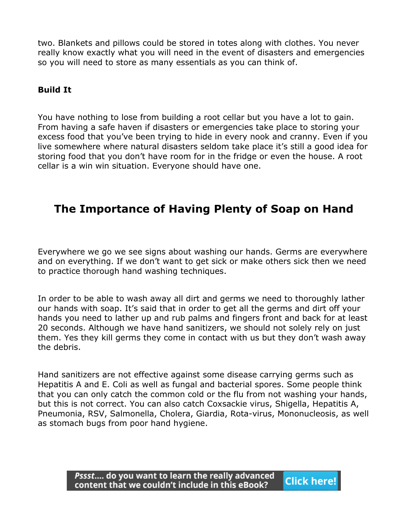two. Blankets and pillows could be stored in totes along with clothes. You never really know exactly what you will need in the event of disasters and emergencies so you will need to store as many essentials as you can think of.

#### **Build It**

You have nothing to lose from building a root cellar but you have a lot to gain. From having a safe haven if disasters or emergencies take place to storing your excess food that you've been trying to hide in every nook and cranny. Even if you live somewhere where natural disasters seldom take place it's still a good idea for storing food that you don't have room for in the fridge or even the house. A root cellar is a win win situation. Everyone should have one.

## **The Importance of Having Plenty of Soap on Hand**

Everywhere we go we see signs about washing our hands. Germs are everywhere and on everything. If we don't want to get sick or make others sick then we need to practice thorough hand washing techniques.

In order to be able to wash away all dirt and germs we need to thoroughly lather our hands with soap. It's said that in order to get all the germs and dirt off your hands you need to lather up and rub palms and fingers front and back for at least 20 seconds. Although we have hand sanitizers, we should not solely rely on just them. Yes they kill germs they come in contact with us but they don't wash away the debris.

Hand sanitizers are not effective against some disease carrying germs such as Hepatitis A and E. Coli as well as fungal and bacterial spores. Some people think that you can only catch the common cold or the flu from not washing your hands, but this is not correct. You can also catch Coxsackie virus, Shigella, Hepatitis A, Pneumonia, RSV, Salmonella, Cholera, Giardia, Rota-virus, Mononucleosis, as well as stomach bugs from poor hand hygiene.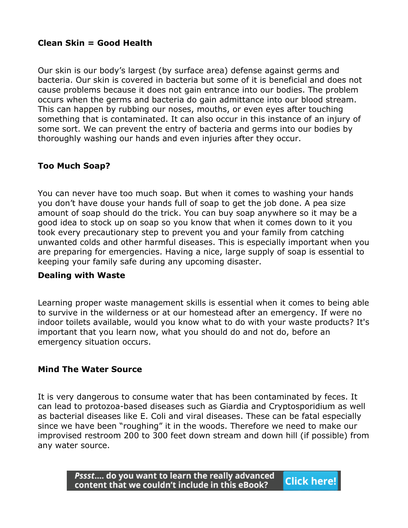#### **Clean Skin = Good Health**

Our skin is our body's largest (by surface area) defense against germs and bacteria. Our skin is covered in bacteria but some of it is beneficial and does not cause problems because it does not gain entrance into our bodies. The problem occurs when the germs and bacteria do gain admittance into our blood stream. This can happen by rubbing our noses, mouths, or even eyes after touching something that is contaminated. It can also occur in this instance of an injury of some sort. We can prevent the entry of bacteria and germs into our bodies by thoroughly washing our hands and even injuries after they occur.

### **Too Much Soap?**

You can never have too much soap. But when it comes to washing your hands you don't have douse your hands full of soap to get the job done. A pea size amount of soap should do the trick. You can buy soap anywhere so it may be a good idea to stock up on soap so you know that when it comes down to it you took every precautionary step to prevent you and your family from catching unwanted colds and other harmful diseases. This is especially important when you are preparing for emergencies. Having a nice, large supply of soap is essential to keeping your family safe during any upcoming disaster.

#### **Dealing with Waste**

Learning proper waste management skills is essential when it comes to being able to survive in the wilderness or at our homestead after an emergency. If were no indoor toilets available, would you know what to do with your waste products? It's important that you learn now, what you should do and not do, before an emergency situation occurs.

#### **Mind The Water Source**

It is very dangerous to consume water that has been contaminated by feces. It can lead to protozoa-based diseases such as Giardia and Cryptosporidium as well as bacterial diseases like E. Coli and viral diseases. These can be fatal especially since we have been "roughing" it in the woods. Therefore we need to make our improvised restroom 200 to 300 feet down stream and down hill (if possible) from any water source.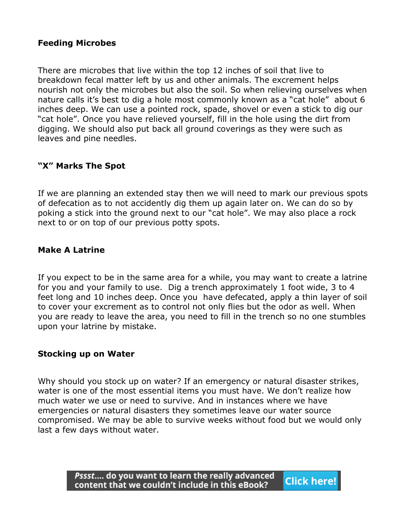#### **Feeding Microbes**

There are microbes that live within the top 12 inches of soil that live to breakdown fecal matter left by us and other animals. The excrement helps nourish not only the microbes but also the soil. So when relieving ourselves when nature calls it's best to dig a hole most commonly known as a "cat hole" about 6 inches deep. We can use a pointed rock, spade, shovel or even a stick to dig our "cat hole". Once you have relieved yourself, fill in the hole using the dirt from digging. We should also put back all ground coverings as they were such as leaves and pine needles.

#### **"X" Marks The Spot**

If we are planning an extended stay then we will need to mark our previous spots of defecation as to not accidently dig them up again later on. We can do so by poking a stick into the ground next to our "cat hole". We may also place a rock next to or on top of our previous potty spots.

#### **Make A Latrine**

If you expect to be in the same area for a while, you may want to create a latrine for you and your family to use. Dig a trench approximately 1 foot wide, 3 to 4 feet long and 10 inches deep. Once you have defecated, apply a thin layer of soil to cover your excrement as to control not only flies but the odor as well. When you are ready to leave the area, you need to fill in the trench so no one stumbles upon your latrine by mistake.

#### **Stocking up on Water**

Why should you stock up on water? If an emergency or natural disaster strikes, water is one of the most essential items you must have. We don't realize how much water we use or need to survive. And in instances where we have emergencies or natural disasters they sometimes leave our water source compromised. We may be able to survive weeks without food but we would only last a few days without water.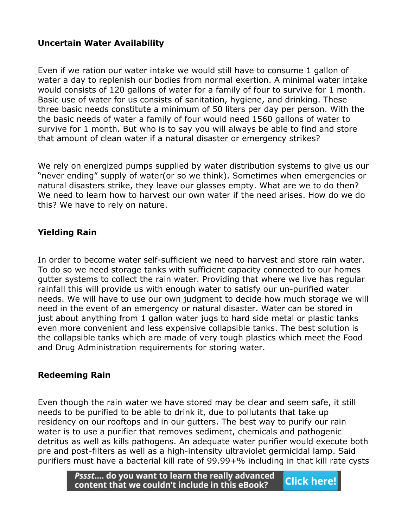#### **Uncertain Water Availability**

Even if we ration our water intake we would still have to consume 1 gallon of water a day to replenish our bodies from normal exertion. A minimal water intake would consists of 120 gallons of water for a family of four to survive for 1 month. Basic use of water for us consists of sanitation, hygiene, and drinking. These three basic needs constitute a minimum of 50 liters per day per person. With the the basic needs of water a family of four would need 1560 gallons of water to survive for 1 month. But who is to say you will always be able to find and store that amount of clean water if a natural disaster or emergency strikes?

We rely on energized pumps supplied by water distribution systems to give us our "never ending" supply of water(or so we think). Sometimes when emergencies or natural disasters strike, they leave our glasses empty. What are we to do then? We need to learn how to harvest our own water if the need arises. How do we do this? We have to rely on nature.

#### **Yielding Rain**

In order to become water self-sufficient we need to harvest and store rain water. To do so we need storage tanks with sufficient capacity connected to our homes gutter systems to collect the rain water. Providing that where we live has regular rainfall this will provide us with enough water to satisfy our un-purified water needs. We will have to use our own judgment to decide how much storage we will need in the event of an emergency or natural disaster. Water can be stored in just about anything from 1 gallon water jugs to hard side metal or plastic tanks even more convenient and less expensive collapsible tanks. The best solution is the collapsible tanks which are made of very tough plastics which meet the Food and Drug Administration requirements for storing water.

#### **Redeeming Rain**

Even though the rain water we have stored may be clear and seem safe, it still needs to be purified to be able to drink it, due to pollutants that take up residency on our rooftops and in our gutters. The best way to purify our rain water is to use a purifier that removes sediment, chemicals and pathogenic detritus as well as kills pathogens. An adequate water purifier would execute both pre and post-filters as well as a high-intensity ultraviolet germicidal lamp. Said purifiers must have a bacterial kill rate of 99.99+% including in that kill rate cysts